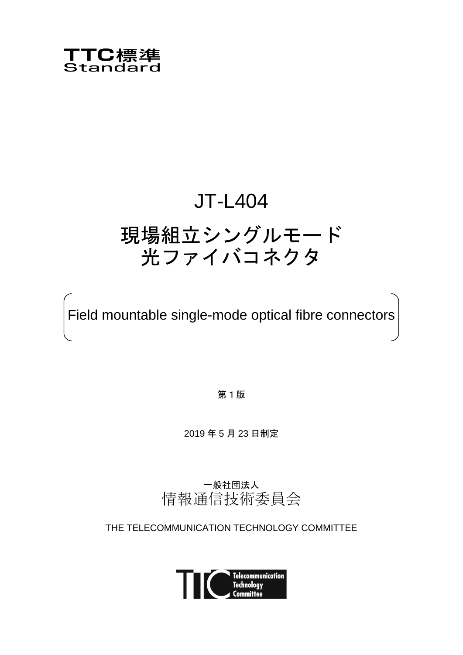

# JT-L404

# 現場組立シングルモード 光ファイバコネクタ

Field mountable single-mode optical fibre connectors

第1版

2019 年 5 月 23 日制定

一般社団法人 情報通信技術委員会

THE TELECOMMUNICATION TECHNOLOGY COMMITTEE

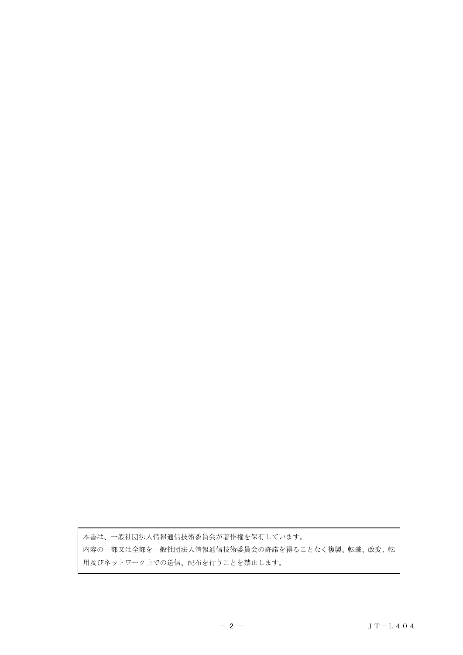本書は、一般社団法人情報通信技術委員会が著作権を保有しています。 内容の一部又は全部を一般社団法人情報通信技術委員会の許諾を得ることなく複製、転載、改変、転 用及びネットワーク上での送信、配布を行うことを禁止します。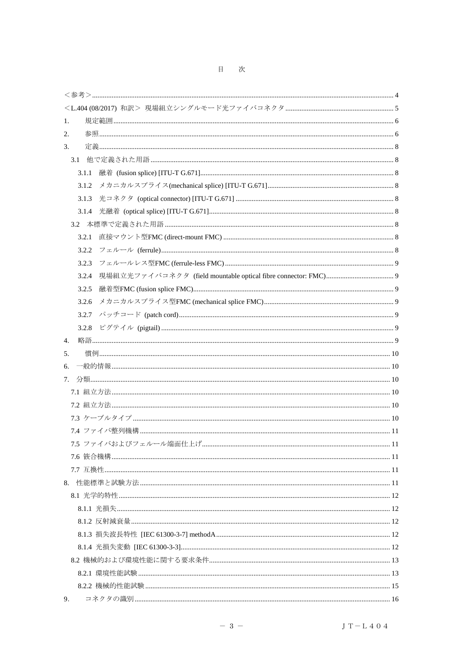目 次

| 1.    |  |
|-------|--|
| 2.    |  |
| 3.    |  |
| 3.1   |  |
| 3.1.1 |  |
| 3.1.2 |  |
| 3.1.3 |  |
| 3.1.4 |  |
| 3.2   |  |
| 3.2.1 |  |
| 3.2.2 |  |
| 3.2.3 |  |
| 3.2.4 |  |
| 3.2.5 |  |
| 3.2.6 |  |
| 3.2.7 |  |
| 3.2.8 |  |
| 4.    |  |
| 5.    |  |
| 6.    |  |
| 7.    |  |
|       |  |
|       |  |
|       |  |
|       |  |
|       |  |
|       |  |
|       |  |
|       |  |
|       |  |
|       |  |
|       |  |
|       |  |
|       |  |
|       |  |
|       |  |
|       |  |
| 9.    |  |
|       |  |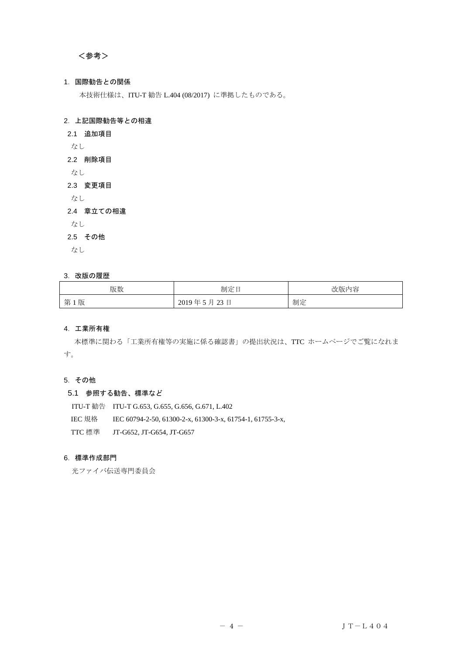# <span id="page-3-0"></span><参考>

# 1.国際勧告との関係

本技術仕様は、ITU-T 勧告 L.404 (08/2017) に準拠したものである。

# 2.上記国際勧告等との相違

- 2.1 追加項目
- なし

# 2.2 削除項目

なし

# 2.3 変更項目

なし

# 2.4 章立ての相違

なし

# 2.5 その他

なし

## 3. 改版の履歴

| 版数  | 制定日        | 改版内容 |
|-----|------------|------|
| 第1版 | 2019年5月23日 | 制定   |

# 4.工業所有権

 本標準に関わる「工業所有権等の実施に係る確認書」の提出状況は、TTC ホームページでご覧になれま す。

# 5.その他

## 5.1 参照する勧告、標準など

 ITU-T 勧告 ITU-T G.653, G.655, G.656, G.671, L.402 IEC 規格 IEC 60794-2-50, 61300-2-x, 61300-3-x, 61754-1, 61755-3-x, TTC 標準 JT-G652, JT-G654, JT-G657

# 6.標準作成部門

光ファイバ伝送専門委員会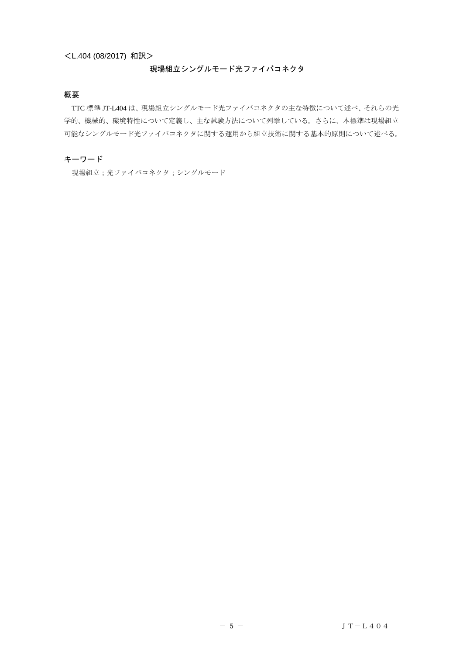# <span id="page-4-0"></span><L.404 (08/2017) 和訳>

# 現場組立シングルモード光ファイバコネクタ

# 概要

TTC 標準 JT-L404 は、現場組立シングルモード光ファイバコネクタの主な特徴について述べ、それらの光 学的、機械的、環境特性について定義し、主な試験方法について列挙している。さらに、本標準は現場組立 可能なシングルモード光ファイバコネクタに関する運用から組立技術に関する基本的原則について述べる。

# キーワード

現場組立;光ファイバコネクタ;シングルモード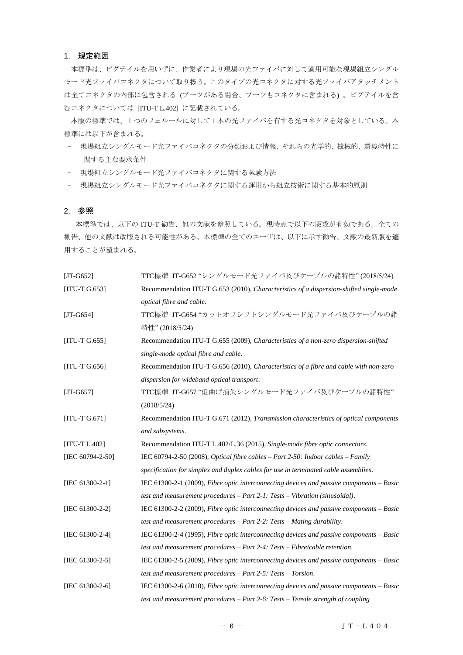# <span id="page-5-0"></span>1. 規定範囲

本標準は、ピグテイルを用いずに、作業者により現場の光ファイバに対して適用可能な現場組立シングル モード光ファイバコネクタについて取り扱う。このタイプの光コネクタに対する光ファイバアタッチメント は全てコネクタの内部に包含される (ブーツがある場合、ブーツもコネクタに含まれる) 。ピグテイルを含 むコネクタについては [ITU-T L.402] に記載されている。

本版の標準では、1つのフェルールに対して1本の光ファイバを有する光コネクタを対象としている。本 標準には以下が含まれる。

- 現場組立シングルモード光ファイバコネクタの分類および情報、それらの光学的、機械的、環境特性に 関する主な要求条件
- 現場組立シングルモード光ファイバコネクタに関する試験方法
- 現場組立シングルモード光ファイバコネクタに関する運用から組立技術に関する基本的原則

#### <span id="page-5-1"></span>2. 参照

 本標準では、以下の ITU-T 勧告、他の文献を参照している。現時点で以下の版数が有効である。全ての 勧告、他の文献は改版される可能性がある。本標準の全てのユーザは、以下に示す勧告、文献の最新版を適 用することが望まれる。

| $[JT-G652]$             | TTC標準 JT-G652 "シングルモード光ファイバ及びケーブルの諸特性" (2018/5/24)                                                |
|-------------------------|---------------------------------------------------------------------------------------------------|
| [ITU-T $G.653$ ]        | Recommendation ITU-T G.653 (2010), Characteristics of a dispersion-shifted single-mode            |
|                         | optical fibre and cable.                                                                          |
| $[JT-G654]$             | TTC標準 JT-G654 "カットオフシフトシングルモード光ファイバ及びケーブルの諸                                                       |
|                         | 特性" (2018/5/24)                                                                                   |
| $[ITU-T G.655]$         | Recommendation ITU-T G.655 (2009), Characteristics of a non-zero dispersion-shifted               |
|                         | single-mode optical fibre and cable.                                                              |
| $[ITU-T G.656]$         | Recommendation ITU-T G.656 (2010), Characteristics of a fibre and cable with non-zero             |
|                         | dispersion for wideband optical transport.                                                        |
| $[JT-G657]$             | TTC標準 JT-G657 "低曲げ損失シングルモード光ファイバ及びケーブルの諸特性"                                                       |
|                         | (2018/5/24)                                                                                       |
| $[ITU-T G.671]$         | Recommendation ITU-T G.671 (2012), Transmission characteristics of optical components             |
|                         | and subsystems.                                                                                   |
| $[ITU-T L.402]$         | Recommendation ITU-T L.402/L.36 (2015), Single-mode fibre optic connectors.                       |
| [IEC $60794 - 2 - 50$ ] | IEC 60794-2-50 (2008), Optical fibre cables $-$ Part 2-50: Indoor cables $-$ Family               |
|                         | specification for simplex and duplex cables for use in terminated cable assemblies.               |
| [IEC 61300-2-1]         | IEC $61300-2-1$ (2009), <i>Fibre optic interconnecting devices and passive components – Basic</i> |
|                         | test and measurement procedures $-$ Part 2-1: Tests $-$ Vibration (sinusoidal).                   |
| [IEC 61300-2-2]         | IEC 61300-2-2 (2009), Fibre optic interconnecting devices and passive components – Basic          |
|                         | test and measurement procedures - Part 2-2: Tests - Mating durability.                            |
| [IEC 61300-2-4]         | IEC $61300-2-4$ (1995), <i>Fibre optic interconnecting devices and passive components – Basic</i> |
|                         | test and measurement procedures - Part 2-4: Tests - Fibre/cable retention.                        |
| [IEC 61300-2-5]         | IEC $61300-2-5$ (2009), Fibre optic interconnecting devices and passive components – Basic        |
|                         | test and measurement procedures $-$ Part 2-5: Tests $-$ Torsion.                                  |
| [IEC 61300-2-6]         | IEC 61300-2-6 (2010), <i>Fibre optic interconnecting devices and passive components – Basic</i>   |
|                         | test and measurement procedures - Part 2-6: Tests - Tensile strength of coupling                  |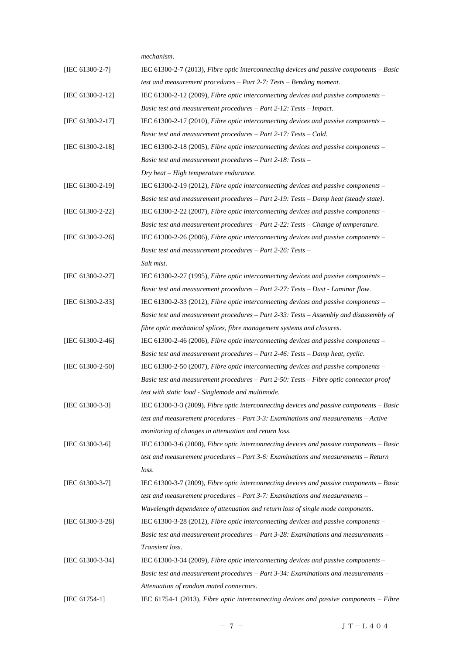*mechanism*. [IEC 61300-2-7] IEC 61300-2-7 (2013), *Fibre optic interconnecting devices and passive components – Basic test and measurement procedures – Part 2-7: Tests – Bending moment*. [IEC 61300-2-12] IEC 61300-2-12 (2009), *Fibre optic interconnecting devices and passive components – Basic test and measurement procedures – Part 2-12: Tests – Impact*. [IEC 61300-2-17] IEC 61300-2-17 (2010), *Fibre optic interconnecting devices and passive components – Basic test and measurement procedures – Part 2-17: Tests – Cold*. [IEC 61300-2-18] IEC 61300-2-18 (2005), *Fibre optic interconnecting devices and passive components – Basic test and measurement procedures – Part 2-18: Tests – Dry heat – High temperature endurance*. [IEC 61300-2-19] IEC 61300-2-19 (2012), *Fibre optic interconnecting devices and passive components – Basic test and measurement procedures – Part 2-19: Tests – Damp heat (steady state)*. [IEC 61300-2-22] IEC 61300-2-22 (2007), *Fibre optic interconnecting devices and passive components – Basic test and measurement procedures – Part 2-22: Tests – Change of temperature*. [IEC 61300-2-26] IEC 61300-2-26 (2006), *Fibre optic interconnecting devices and passive components – Basic test and measurement procedures – Part 2-26: Tests – Salt mist*. [IEC 61300-2-27] IEC 61300-2-27 (1995), *Fibre optic interconnecting devices and passive components – Basic test and measurement procedures – Part 2-27: Tests – Dust - Laminar flow*. [IEC 61300-2-33] IEC 61300-2-33 (2012), *Fibre optic interconnecting devices and passive components – Basic test and measurement procedures – Part 2-33: Tests – Assembly and disassembly of fibre optic mechanical splices, fibre management systems and closures*. [IEC 61300-2-46] IEC 61300-2-46 (2006), *Fibre optic interconnecting devices and passive components – Basic test and measurement procedures – Part 2-46: Tests – Damp heat, cyclic*. [IEC 61300-2-50] IEC 61300-2-50 (2007), *Fibre optic interconnecting devices and passive components – Basic test and measurement procedures – Part 2-50: Tests – Fibre optic connector proof test with static load - Singlemode and multimode*. [IEC 61300-3-3] IEC 61300-3-3 (2009), *Fibre optic interconnecting devices and passive components – Basic test and measurement procedures – Part 3-3: Examinations and measurements – Active monitoring of changes in attenuation and return loss*. [IEC 61300-3-6] IEC 61300-3-6 (2008), *Fibre optic interconnecting devices and passive components – Basic test and measurement procedures – Part 3-6: Examinations and measurements – Return loss*. [IEC 61300-3-7] IEC 61300-3-7 (2009), *Fibre optic interconnecting devices and passive components – Basic test and measurement procedures – Part 3-7: Examinations and measurements – Wavelength dependence of attenuation and return loss of single mode components*. [IEC 61300-3-28] IEC 61300-3-28 (2012), *Fibre optic interconnecting devices and passive components – Basic test and measurement procedures – Part 3-28: Examinations and measurements – Transient loss*. [IEC 61300-3-34] IEC 61300-3-34 (2009), *Fibre optic interconnecting devices and passive components – Basic test and measurement procedures – Part 3-34: Examinations and measurements – Attenuation of random mated connectors*. [IEC 61754-1] IEC 61754-1 (2013), *Fibre optic interconnecting devices and passive components – Fibre*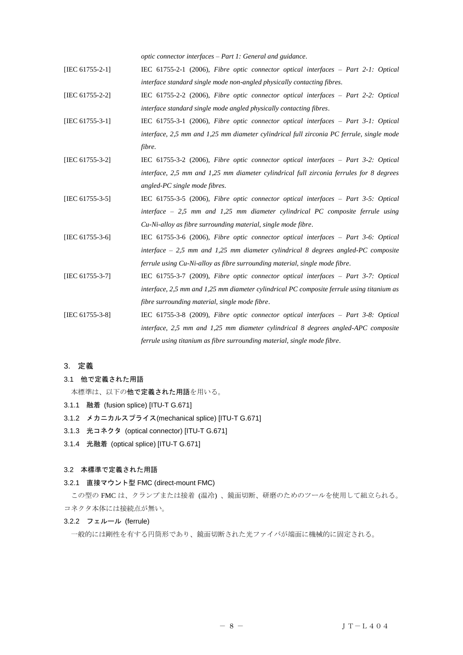*optic connector interfaces – Part 1: General and guidance*.

- [IEC 61755-2-1] IEC 61755-2-1 (2006), *Fibre optic connector optical interfaces – Part 2-1: Optical interface standard single mode non-angled physically contacting fibres*.
- [IEC 61755-2-2] IEC 61755-2-2 (2006), *Fibre optic connector optical interfaces – Part 2-2: Optical interface standard single mode angled physically contacting fibres*.
- [IEC 61755-3-1] IEC 61755-3-1 (2006), *Fibre optic connector optical interfaces – Part 3-1: Optical interface, 2,5 mm and 1,25 mm diameter cylindrical full zirconia PC ferrule, single mode fibre*.
- [IEC 61755-3-2] IEC 61755-3-2 (2006), *Fibre optic connector optical interfaces – Part 3-2: Optical interface, 2,5 mm and 1,25 mm diameter cylindrical full zirconia ferrules for 8 degrees angled-PC single mode fibres*.
- [IEC 61755-3-5] IEC 61755-3-5 (2006), *Fibre optic connector optical interfaces – Part 3-5: Optical interface – 2,5 mm and 1,25 mm diameter cylindrical PC composite ferrule using Cu-Ni-alloy as fibre surrounding material, single mode fibre*.
- [IEC 61755-3-6] IEC 61755-3-6 (2006), *Fibre optic connector optical interfaces – Part 3-6: Optical interface – 2,5 mm and 1,25 mm diameter cylindrical 8 degrees angled-PC composite ferrule using Cu-Ni-alloy as fibre surrounding material, single mode fibre*.
- [IEC 61755-3-7] IEC 61755-3-7 (2009), *Fibre optic connector optical interfaces – Part 3-7: Optical interface, 2,5 mm and 1,25 mm diameter cylindrical PC composite ferrule using titanium as fibre surrounding material, single mode fibre*.
- [IEC 61755-3-8] IEC 61755-3-8 (2009), *Fibre optic connector optical interfaces – Part 3-8: Optical interface, 2,5 mm and 1,25 mm diameter cylindrical 8 degrees angled-APC composite ferrule using titanium as fibre surrounding material, single mode fibre*.

# <span id="page-7-0"></span>3. 定義

<span id="page-7-1"></span>3.1 他で定義された用語

本標準は、以下の他で定義された用語を用いる。

- <span id="page-7-2"></span>3.1.1 融着 (fusion splice) [ITU-T G.671]
- <span id="page-7-3"></span>3.1.2 メカニカルスプライス(mechanical splice) [ITU-T G.671]
- <span id="page-7-4"></span>3.1.3 光コネクタ (optical connector) [ITU-T G.671]
- <span id="page-7-5"></span>3.1.4 光融着 (optical splice) [ITU-T G.671]

#### <span id="page-7-6"></span>3.2 本標準で定義された用語

#### <span id="page-7-7"></span>3.2.1 直接マウント型 FMC (direct-mount FMC)

この型の FMC は、クランプまたは接着 (温冷) 、鏡面切断、研磨のためのツールを使用して組立られる。 コネクタ本体には接続点が無い。

## <span id="page-7-8"></span>3.2.2 フェルール (ferrule)

一般的には剛性を有する円筒形であり、鏡面切断された光ファイバが端面に機械的に固定される。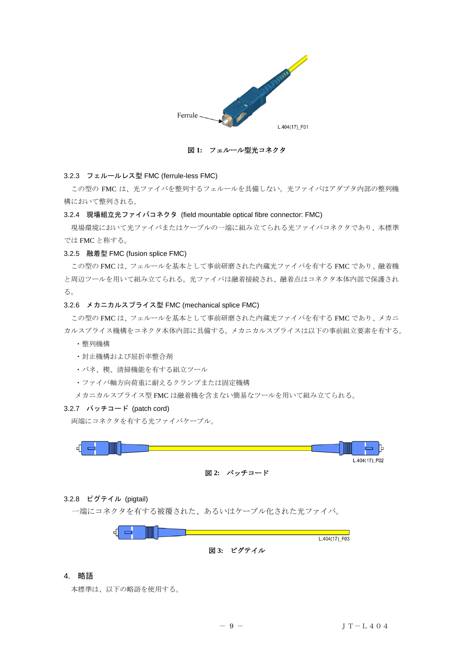

図 **1:** フェルール型光コネクタ

## <span id="page-8-0"></span>3.2.3 フェルールレス型 FMC (ferrule-less FMC)

この型の FMC は、光ファイバを整列するフェルールを具備しない。光ファイバはアダプタ内部の整列機 構において整列される。

#### <span id="page-8-1"></span>3.2.4 現場組立光ファイバコネクタ (field mountable optical fibre connector: FMC)

現場環境において光ファイバまたはケーブルの一端に組み立てられる光ファイバコネクタであり、本標準 では FMC と称する。

# <span id="page-8-2"></span>3.2.5 融着型 FMC (fusion splice FMC)

この型の FMC は、フェルールを基本として事前研磨された内蔵光ファイバを有する FMC であり、融着機 と周辺ツールを用いて組み立てられる。光ファイバは融着接続され、融着点はコネクタ本体内部で保護され る。

## <span id="page-8-3"></span>3.2.6 メカニカルスプライス型 FMC (mechanical splice FMC)

この型の FMC は、フェルールを基本として事前研磨された内蔵光ファイバを有する FMC であり、メカニ カルスプライス機構をコネクタ本体内部に具備する。メカニカルスプライスは以下の事前組立要素を有する。

- ・整列機構
- ・封止機構および屈折率整合剤
- ・バネ、楔、清掃機能を有する組立ツール
- ・ファイバ軸方向荷重に耐えるクランプまたは固定機構

メカニカルスプライス型 FMC は融着機を含まない簡易なツールを用いて組み立てられる。

# <span id="page-8-4"></span>3.2.7 パッチコード (patch cord)

両端にコネクタを有する光ファイバケーブル。



# <span id="page-8-5"></span>3.2.8 ピグテイル (pigtail)

一端にコネクタを有する被覆された、あるいはケーブル化された光ファイバ。



## <span id="page-8-6"></span>4. 略語

本標準は、以下の略語を使用する。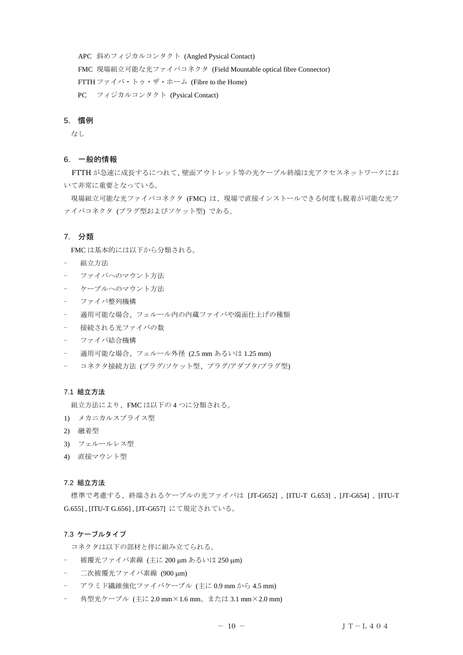APC 斜めフィジカルコンタクト (Angled Pysical Contact) FMC 現場組立可能な光ファイバコネクタ (Field Mountable optical fibre Connector) FTTH ファイバ・トゥ・ザ・ホーム (Fibre to the Home) PC フィジカルコンタクト (Pysical Contact)

## <span id="page-9-0"></span>5. 慣例

なし

## <span id="page-9-1"></span>6. 一般的情報

 FTTH が急速に成長するにつれて、壁面アウトレット等の光ケーブル終端は光アクセスネットワークにお いて非常に重要となっている。

現場組立可能な光ファイバコネクタ (FMC) は、現場で直接インストールできる何度も脱着が可能な光フ ァイバコネクタ (プラグ型およびソケット型) である。

# <span id="page-9-2"></span>7. 分類

FMC は基本的には以下から分類される。

- 組立方法
- ファイバへのマウント方法
- ケーブルへのマウント方法
- ファイバ整列機構
- 適用可能な場合、フェルール内の内蔵ファイバや端面仕上げの種類
- 接続される光ファイバの数
- ファイバ結合機構
- 適用可能な場合、フェルール外径 (2.5 mm あるいは 1.25 mm)
- コネクタ接続方法 (プラグ/ソケット型、プラグ/アダプタ/プラグ型)

# <span id="page-9-3"></span>7.1 組立方法

組立方法により、FMC は以下の 4 つに分類される。

- 1) メカニカルスプライス型
- 2) 融着型
- 3) フェルールレス型
- 4) 直接マウント型

## <span id="page-9-4"></span>7.2 組立方法

標準で考慮する、終端されるケーブルの光ファイバは [JT-G652] , [ITU-T G.653] , [JT-G654] , [ITU-T G.655] , [ITU-T G.656] , [JT-G657] にて規定されている。

## <span id="page-9-5"></span>7.3 ケーブルタイプ

コネクタは以下の部材と伴に組み立てられる。

- 被覆光ファイバ素線 (主に 200 µm あるいは 250 µm)
- 二次被覆光ファイバ素線 (900 μm)
- アラミド繊維強化ファイバケーブル (主に 0.9 mm から 4.5 mm)
- 角型光ケーブル (主に 2.0 mm×1.6 mm、または 3.1 mm×2.0 mm)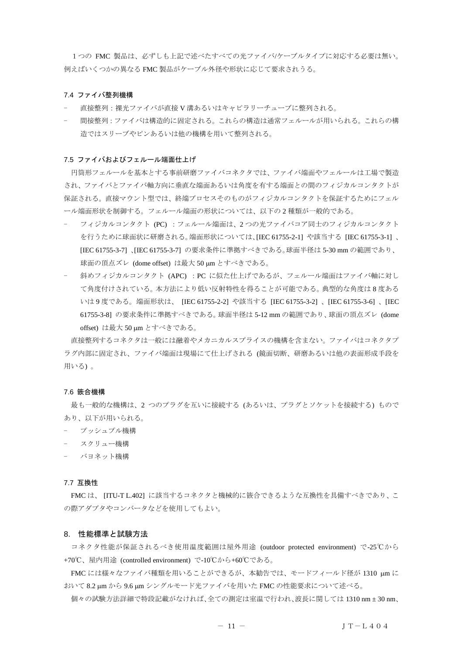1つの FMC 製品は、必ずしも上記で述べたすべての光ファイバ/ケーブルタイプに対応する必要は無い。 例えばいくつかの異なる FMC 製品がケーブル外径や形状に応じて要求されうる。

#### <span id="page-10-0"></span>7.4 ファイバ整列機構

- 直接整列:裸光ファイバが直接 V 溝あるいはキャピラリーチューブに整列される。
- 間接整列:ファイバは構造的に固定される。これらの構造は通常フェルールが用いられる。これらの構 造ではスリーブやピンあるいは他の機構を用いて整列される。

#### <span id="page-10-1"></span>7.5 ファイバおよびフェルール端面仕上げ

円筒形フェルールを基本とする事前研磨ファイバコネクタでは、ファイバ端面やフェルールは工場で製造 され、ファイバとファイバ軸方向に垂直な端面あるいは角度を有する端面との間のフィジカルコンタクトが 保証される。直接マウント型では、終端プロセスそのものがフィジカルコンタクトを保証するためにフェル ール端面形状を制御する。フェルール端面の形状については、以下の 2 種類が一般的である。

- フィジカルコンタクト (PC) :フェルール端面は、2 つの光ファイバコア同士のフィジカルコンタクト を行うために球面状に研磨される。端面形状については、[IEC 61755-2-1] や該当する [IEC 61755-3-1] 、 [IEC 61755-3-7] 、[IEC 61755-3-7] の要求条件に準拠すべきである。球面半径は 5-30 mm の範囲であり、 球面の頂点ズレ (dome offset) は最大 50 um とすべきである。
- 斜めフィジカルコンタクト (APC) :PC に似た仕上げであるが、フェルール端面はファイバ軸に対し て角度付けされている。本方法により低い反射特性を得ることが可能である。典型的な角度は 8 度ある いは 9 度である。端面形状は、 [IEC 61755-2-2] や該当する [IEC 61755-3-2] 、[IEC 61755-3-6] 、[IEC 61755-3-8] の要求条件に準拠すべきである。球面半径は 5-12 mm の範囲であり、球面の頂点ズレ (dome offset) は最大 50 µm とすべきである。

直接整列するコネクタは一般には融着やメカニカルスプライスの機構を含まない。ファイバはコネクタプ ラグ内部に固定され、ファイバ端面は現場にて仕上げされる (鏡面切断、研磨あるいは他の表面形成手段を 用いる) 。

#### <span id="page-10-2"></span>7.6 篏合機構

最も一般的な機構は、2 つのプラグを互いに接続する (あるいは、プラグとソケットを接続する) もので あり、以下が用いられる。

- プッシュプル機構
- スクリュー機構
- バヨネット機構

#### <span id="page-10-3"></span>7.7 互換性

FMC は、 [ITU-T L.402] に該当するコネクタと機械的に篏合できるような互換性を具備すべきであり、こ の際アダプタやコンバータなどを使用してもよい。

## <span id="page-10-4"></span>8. 性能標準と試験方法

コネクタ性能が保証されるべき使用温度範囲は屋外用途 (outdoor protected environment) で-25℃から +70℃、屋内用途 (controlled environment) で-10℃から+60℃である。

FMC には様々なファイバ種類を用いることができるが、本勧告では、モードフィールド径が 1310 µm に おいて 8.2 m から 9.6 m シングルモード光ファイバを用いた FMC の性能要求について述べる。

個々の試験方法詳細で特段記載がなければ、全ての測定は室温で行われ、波長に関しては 1310 nm ± 30 nm、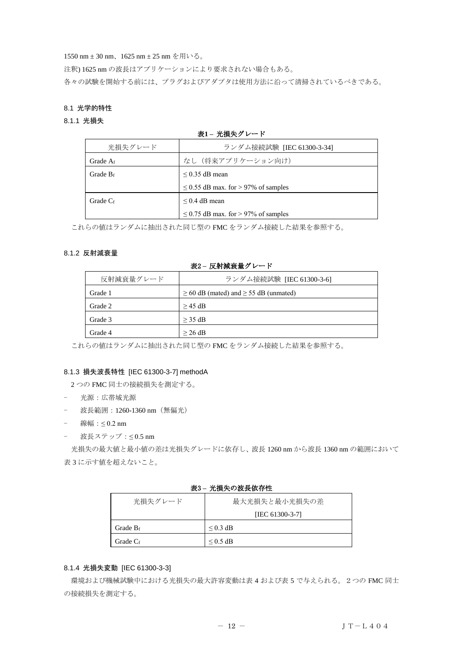1550 nm ± 30 nm、1625 nm ± 25 nm を用いる。

注釈) 1625 nm の波長はアプリケーションにより要求されない場合もある。

各々の試験を開始する前には、プラグおよびアダプタは使用方法に沿って清掃されているべきである。

## <span id="page-11-0"></span>8.1 光学的特性

## <span id="page-11-1"></span>8.1.1 光損失

# 表**1 –** 光損失グレード

| 光損失グレード     | ランダム接続試験 [IEC 61300-3-34]                |  |
|-------------|------------------------------------------|--|
| Grade $A_f$ | なし (将来アプリケーション向け)                        |  |
| Grade $B_f$ | $\leq$ 0.35 dB mean                      |  |
|             | $\leq$ 0.55 dB max. for > 97% of samples |  |
| Grade $C_f$ | $\leq$ 0.4 dB mean                       |  |
|             | $\leq$ 0.75 dB max. for > 97% of samples |  |

これらの値はランダムに抽出された同じ型の FMC をランダム接続した結果を参照する。

## <span id="page-11-2"></span>8.1.2 反射減衰量

表2 **–** 反射減衰量グレード

| 反射減衰量グレード | ランダム接続試験 [IEC 61300-3-6]                        |  |  |
|-----------|-------------------------------------------------|--|--|
| Grade 1   | $\geq$ 60 dB (mated) and $\geq$ 55 dB (unmated) |  |  |
| Grade 2   | $>$ 45 dB                                       |  |  |
| Grade 3   | $>$ 35 dB                                       |  |  |
| Grade 4   | $>$ 26 dB                                       |  |  |

これらの値はランダムに抽出された同じ型の FMC をランダム接続した結果を参照する。

# <span id="page-11-3"></span>8.1.3 損失波長特性 [IEC 61300-3-7] methodA

2 つの FMC 同士の接続損失を測定する。

- 光源:広帯域光源
- 波長範囲: 1260-1360 nm (無偏光)
- 線幅:≤ 0.2 nm
- 波長ステップ : ≤0.5 nm

光損失の最大値と最小値の差は光損失グレードに依存し、波長 1260 nm から波長 1360 nm の範囲において 表 3 に示す値を超えないこと。

# 表3 **–** 光損失の波長依存性

| 光損失グレード     | 最大光損失と最小光損失の差   |  |
|-------------|-----------------|--|
|             | [IEC 61300-3-7] |  |
| Grade $B_f$ | $\leq$ 0.3 dB   |  |
| Grade $C_f$ | $\leq$ 0.5 dB   |  |

# <span id="page-11-4"></span>8.1.4 光損失変動 [IEC 61300-3-3]

環境および機械試験中における光損失の最大許容変動は表 4 および表 5 で与えられる。2つの FMC 同士 の接続損失を測定する。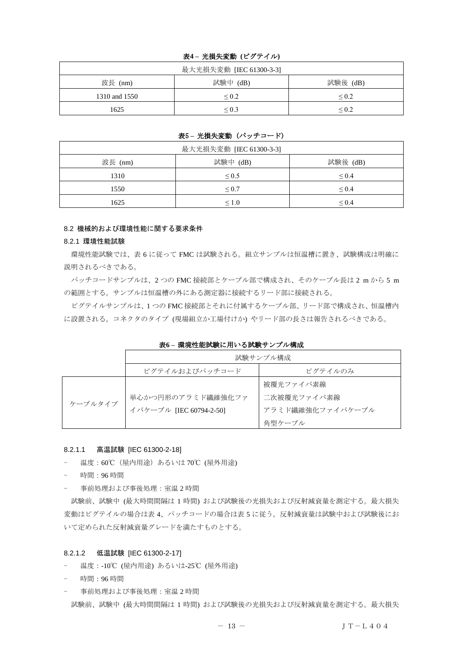# 表**4 –** 光損失変動 **(**ピグテイル**)**

| 最大光損失変動 [IEC 61300-3-3] |                 |             |
|-------------------------|-----------------|-------------|
| 波長 (nm)                 | 試験中 (dB)        | 試験後 (dB)    |
| 1310 and 1550           | ${}_{0.2}$      | ${}^{<}0.2$ |
| 1625                    | ${}_{\leq 0.3}$ | ${}^{<}0.2$ |

## 表5 **–** 光損失変動 (パッチコード)

| 最大光損失変動 [IEC 61300-3-3] |            |            |
|-------------------------|------------|------------|
| 波長 (nm)                 | 試験中 (dB)   | 試験後 (dB)   |
| 1310                    | $\leq 0.5$ | ${}_{0.4}$ |
| 1550                    | $\leq 0.7$ | $\leq 0.4$ |
| 1625                    | $\leq 1.0$ | ${}_{0.4}$ |

## <span id="page-12-0"></span>8.2 機械的および環境性能に関する要求条件

#### <span id="page-12-1"></span>8.2.1 環境性能試験

環境性能試験では、表 6 に従って FMC は試験される。組立サンプルは恒温槽に置き、試験構成は明確に 説明されるべきである。

パッチコードサンプルは、2 つの FMC 接続部とケーブル部で構成され、そのケーブル長は 2 m から 5 m の範囲とする。サンプルは恒温槽の外にある測定器に接続するリード部に接続される。

ピグテイルサンプルは、1 つの FMC 接続部とそれに付属するケーブル部、リード部で構成され、恒温槽内 に設置される。コネクタのタイプ (現場組立か工場付けか) やリード部の長さは報告されるべきである。

表**6 –** 環境性能試験に用いる試験サンプル構成

|         | 試験サンプル構成                                     |                                                        |
|---------|----------------------------------------------|--------------------------------------------------------|
|         | ピグテイルおよびパッチコード                               | ピグテイルのみ                                                |
| ケーブルタイプ | 単心かつ円形のアラミド繊維強化ファ<br>イバケーブル [IEC 60794-2-50] | 被覆光ファイバ素線<br>二次被覆光ファイバ素線<br>アラミド繊維強化ファイバケーブル<br>角型ケーブル |

# 8.2.1.1 高温試験 [IEC 61300-2-18]

- 温度:60℃(屋内用途)あるいは 70℃ (屋外用途)
- 時間:96 時間
- 事前処理および事後処理:室温 2 時間

試験前、試験中 (最大時間間隔は 1 時間) および試験後の光損失および反射減衰量を測定する。最大損失 変動はピグテイルの場合は表 4、パッチコードの場合は表 5 に従う。反射減衰量は試験中および試験後にお いて定められた反射減衰量グレードを満たすものとする。

## 8.2.1.2 低温試験 [IEC 61300-2-17]

- 温度:-10℃ (屋内用途) あるいは-25℃ (屋外用途)
- 時間:96 時間
- 事前処理および事後処理:室温 2 時間 試験前、試験中 (最大時間間隔は 1 時間) および試験後の光損失および反射減衰量を測定する。最大損失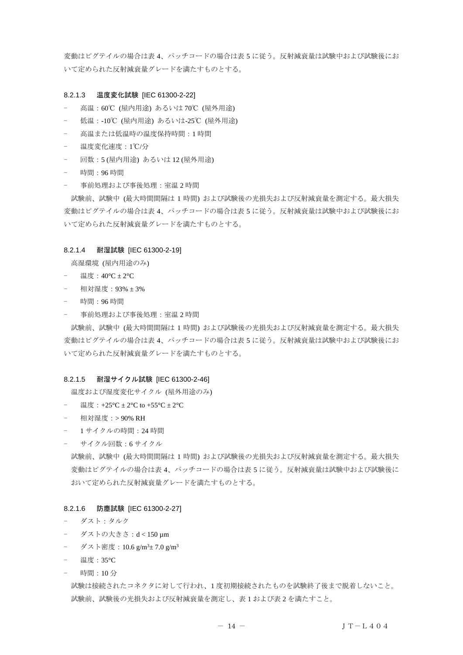変動はピグテイルの場合は表 4、パッチコードの場合は表 5 に従う。反射減衰量は試験中および試験後にお いて定められた反射減衰量グレードを満たすものとする。

#### 8.2.1.3 温度変化試験 [IEC 61300-2-22]

- 高温: 60℃ (屋内用途) あるいは 70℃ (屋外用途)
- 低温:-10℃ (屋内用途) あるいは-25℃ (屋外用途)
- 高温または低温時の温度保持時間:1 時間
- 温度変化速度:1℃/分
- 回数:5 (屋内用途) あるいは 12 (屋外用途)
- 時間:96 時間
- 事前処理および事後処理:室温 2 時間

試験前、試験中 (最大時間間隔は 1 時間) および試験後の光損失および反射減衰量を測定する。最大損失 変動はピグテイルの場合は表 4、パッチコードの場合は表 5 に従う。反射減衰量は試験中および試験後にお いて定められた反射減衰量グレードを満たすものとする。

## 8.2.1.4 耐湿試験 [IEC 61300-2-19]

高湿環境 (屋内用途のみ)

- 温度:40°C ± 2°C
- 相対湿度:93% ± 3%
- 時間:96 時間
- 事前処理および事後処理:室温 2 時間

試験前、試験中 (最大時間間隔は 1 時間) および試験後の光損失および反射減衰量を測定する。最大損失 変動はピグテイルの場合は表 4、パッチコードの場合は表 5 に従う。反射減衰量は試験中および試験後にお いて定められた反射減衰量グレードを満たすものとする。

## 8.2.1.5 耐湿サイクル試験 [IEC 61300-2-46]

温度および湿度変化サイクル (屋外用途のみ)

- 温度: +25°C  $\pm$  2°C to +55°C  $\pm$  2°C
- 相対湿度:> 90% RH
- 1 サイクルの時間:24 時間
- サイクル回数:6 サイクル

試験前、試験中 (最大時間間隔は 1 時間) および試験後の光損失および反射減衰量を測定する。最大損失 変動はピグテイルの場合は表 4、パッチコードの場合は表 5 に従う。反射減衰量は試験中および試験後に おいて定められた反射減衰量グレードを満たすものとする。

#### 8.2.1.6 防塵試験 [IEC 61300-2-27]

- ダスト:タルク
- ダストの大きさ:d < 150 µm
- ダスト密度:10.6 g/m<sup>3</sup>± 7.0 g/m<sup>3</sup>
- 温度:35°C
- 時間:10 分

試験は接続されたコネクタに対して行われ、1 度初期接続されたものを試験終了後まで脱着しないこと。 試験前、試験後の光損失および反射減衰量を測定し、表 1 および表 2 を満たすこと。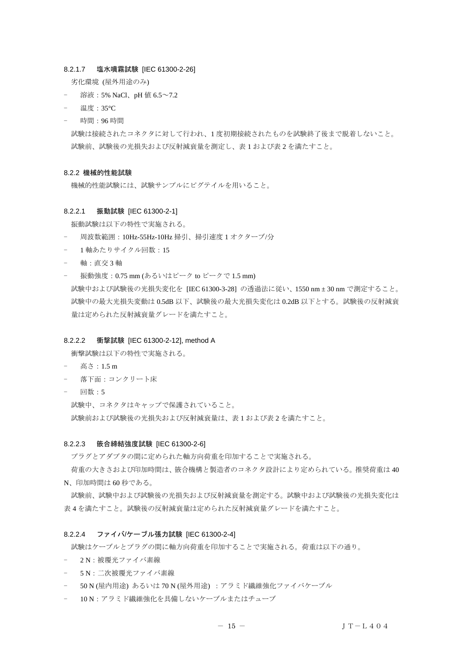#### 8.2.1.7 塩水噴霧試験 [IEC 61300-2-26]

劣化環境 (屋外用途のみ)

- 溶液:5% NaCl、pH 値 6.5~7.2
- 温度:35°C
- 時間:96 時間

試験は接続されたコネクタに対して行われ、1 度初期接続されたものを試験終了後まで脱着しないこと。 試験前、試験後の光損失および反射減衰量を測定し、表 1 および表 2 を満たすこと。

#### <span id="page-14-0"></span>8.2.2 機械的性能試験

機械的性能試験には、試験サンプルにピグテイルを用いること。

#### 8.2.2.1 振動試験 [IEC 61300-2-1]

振動試験は以下の特性で実施される。

- 周波数範囲:10Hz-55Hz-10Hz 掃引、掃引速度 1 オクターブ/分
- 1 軸あたりサイクル回数:15
- 軸:直交 3 軸
- 振動強度:0.75 mm (あるいはピーク to ピークで 1.5 mm)

試験中および試験後の光損失変化を [IEC 61300-3-28] の透過法に従い、1550 nm ± 30 nm で測定すること。 試験中の最大光損失変動は 0.5dB 以下、試験後の最大光損失変化は 0.2dB 以下とする。試験後の反射減衰 量は定められた反射減衰量グレードを満たすこと。

#### 8.2.2.2 衝撃試験 [IEC 61300-2-12], method A

衝撃試験は以下の特性で実施される。

- 高さ : 1.5 m
- 落下面:コンクリート床
- 回数 : 5

試験中、コネクタはキャップで保護されていること。 試験前および試験後の光損失および反射減衰量は、表 1 および表 2 を満たすこと。

#### 8.2.2.3 篏合締結強度試験 [IEC 61300-2-6]

プラグとアダプタの間に定められた軸方向荷重を印加することで実施される。

荷重の大きさおよび印加時間は、篏合機構と製造者のコネクタ設計により定められている。推奨荷重は 40 N、印加時間は 60 秒である。

試験前、試験中および試験後の光損失および反射減衰量を測定する。試験中および試験後の光損失変化は 表 4 を満たすこと。試験後の反射減衰量は定められた反射減衰量グレードを満たすこと。

#### 8.2.2.4 ファイバ/ケーブル張力試験 [IEC 61300-2-4]

試験はケーブルとプラグの間に軸方向荷重を印加することで実施される。荷重は以下の通り。

- 2N:被覆光ファイバ素線
- 5 N:二次被覆光ファイバ素線
- 50 N (屋内用途) あるいは 70 N (屋外用途) :アラミド繊維強化ファイバケーブル
- 10 N:アラミド繊維強化を具備しないケーブルまたはチューブ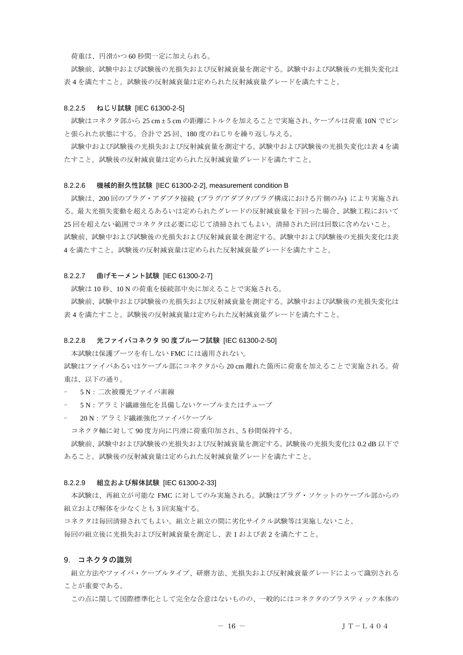荷重は、円滑かつ 60 秒間一定に加えられる。

試験前、試験中および試験後の光損失および反射減衰量を測定する。試験中および試験後の光損失変化は 表 4 を満たすこと。試験後の反射減衰量は定められた反射減衰量グレードを満たすこと。

## 8.2.2.5 ねじり試験 [IEC 61300-2-5]

試験はコネクタ部から 25 cm ± 5 cm の距離にトルクを加えることで実施され、ケーブルは荷重 10N でピン と張られた状態にする。合計で 25 回、180 度のねじりを繰り返し与える。

試験中および試験後の光損失および反射減衰量を測定する。試験中および試験後の光損失変化は表 4 を満 たすこと。試験後の反射減衰量は定められた反射減衰量グレードを満たすこと。

#### 8.2.2.6 機械的耐久性試験 [IEC 61300-2-2], measurement condition B

試験は、200 回のプラグ・アダプタ接続 (プラグ/アダプタ/プラグ構成における片側のみ) により実施され る。最大光損失変動を超えるあるいは定められたグレードの反射減衰量を下回った場合、試験工程において 25 回を超えない範囲でコネクタは必要に応じて清掃されてもよい。清掃された回は回数に含めないこと。 試験前、試験中および試験後の光損失および反射減衰量を測定する。試験中および試験後の光損失変化は表 4 を満たすこと。試験後の反射減衰量は定められた反射減衰量グレードを満たすこと。

## 8.2.2.7 曲げモーメント試験 [IEC 61300-2-7]

試験は 10 秒、10 N の荷重を接続部中央に加えることで実施される。

試験前、試験中および試験後の光損失および反射減衰量を測定する。試験中および試験後の光損失変化は 表 4 を満たすこと。試験後の反射減衰量は定められた反射減衰量グレードを満たすこと。

#### 8.2.2.8 光ファイバコネクタ 90 度プルーフ試験 [IEC 61300-2-50]

本試験は保護ブーツを有しない FMC には適用されない。

試験はファイバあるいはケーブル部にコネクタから 20 cm 離れた箇所に荷重を加えることで実施される。荷 重は、以下の通り。

- 5 N: 二次被覆光ファイバ素線
- 5 N:アラミド繊維強化を具備しないケーブルまたはチューブ
- 20 N:アラミド繊維強化ファイバケーブル

コネクタ軸に対して 90 度方向に円滑に荷重印加され、5 秒間保持する。

試験前、試験中および試験後の光損失および反射減衰量を測定する。試験後の光損失変化は 0.2 dB 以下で あること。試験後の反射減衰量は定められた反射減衰量グレードを満たすこと。

#### 8.2.2.9 組立および解体試験 [IEC 61300-2-33]

本試験は、再組立が可能な FMC に対してのみ実施される。試験はプラグ・ソケットのケーブル部からの 組立および解体を少なくとも 3 回実施する。

コネクタは毎回清掃されてもよい。組立と組立の間に劣化サイクル試験等は実施しないこと。

毎回の組立後に光損失および反射減衰量を測定し、表 1 および表 2 を満たすこと。

# <span id="page-15-0"></span>9. コネクタの識別

組立方法やファイバ・ケーブルタイプ、研磨方法、光損失および反射減衰量グレードによって識別される ことが重要である。

この点に関して国際標準化として完全な合意はないものの、一般的にはコネクタのプラスティック本体の